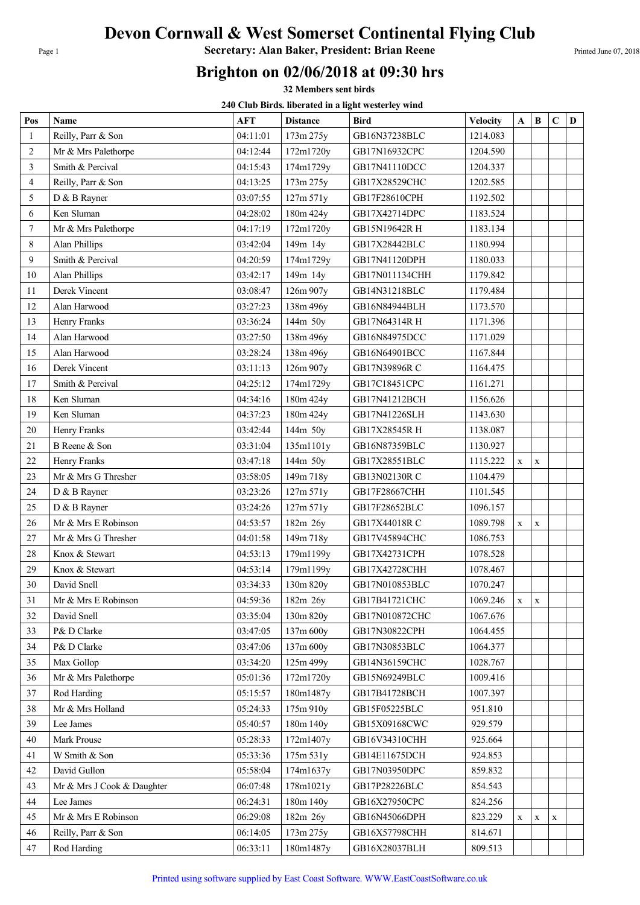## Devon Cornwall & West Somerset Continental Flying Club

Page 1 **Secretary: Alan Baker, President: Brian Reene** Printed June 07, 2018

## Brighton on 02/06/2018 at 09:30 hrs

32 Members sent birds

240 Club Birds. liberated in a light westerley wind

| Pos            | Name                       | <b>AFT</b> | <b>Distance</b> | 270 Club Dh'us. nocrattu in a nght westerity wind<br><b>Bird</b> | <b>Velocity</b> | A            | B           | $\mathbf C$ | D |
|----------------|----------------------------|------------|-----------------|------------------------------------------------------------------|-----------------|--------------|-------------|-------------|---|
| $\mathbf{1}$   | Reilly, Parr & Son         | 04:11:01   | 173m 275y       | GB16N37238BLC                                                    | 1214.083        |              |             |             |   |
| $\overline{2}$ | Mr & Mrs Palethorpe        | 04:12:44   | 172m1720y       | GB17N16932CPC                                                    | 1204.590        |              |             |             |   |
| 3              | Smith & Percival           | 04:15:43   | 174m1729y       | GB17N41110DCC                                                    | 1204.337        |              |             |             |   |
| $\overline{4}$ | Reilly, Parr & Son         | 04:13:25   | 173m 275y       | GB17X28529CHC                                                    | 1202.585        |              |             |             |   |
| 5              | D & B Rayner               | 03:07:55   | 127m 571y       | GB17F28610CPH                                                    | 1192.502        |              |             |             |   |
| 6              | Ken Sluman                 | 04:28:02   | 180m 424y       | GB17X42714DPC                                                    | 1183.524        |              |             |             |   |
| 7              | Mr & Mrs Palethorpe        | 04:17:19   | 172m1720y       | GB15N19642R H                                                    | 1183.134        |              |             |             |   |
| 8              | Alan Phillips              | 03:42:04   | 149m 14y        | GB17X28442BLC                                                    | 1180.994        |              |             |             |   |
| 9              | Smith & Percival           | 04:20:59   | 174m1729y       | GB17N41120DPH                                                    | 1180.033        |              |             |             |   |
| 10             | Alan Phillips              | 03:42:17   | 149m 14y        | GB17N011134CHH                                                   | 1179.842        |              |             |             |   |
| 11             | Derek Vincent              | 03:08:47   | 126m 907y       | GB14N31218BLC                                                    | 1179.484        |              |             |             |   |
| 12             | Alan Harwood               | 03:27:23   | 138m 496y       | GB16N84944BLH                                                    | 1173.570        |              |             |             |   |
| 13             | Henry Franks               | 03:36:24   | 144m 50y        | GB17N64314R H                                                    | 1171.396        |              |             |             |   |
| 14             | Alan Harwood               | 03:27:50   | 138m 496y       | GB16N84975DCC                                                    | 1171.029        |              |             |             |   |
| 15             | Alan Harwood               | 03:28:24   | 138m 496y       | GB16N64901BCC                                                    | 1167.844        |              |             |             |   |
| 16             | Derek Vincent              | 03:11:13   | 126m 907y       | GB17N39896R C                                                    | 1164.475        |              |             |             |   |
| 17             | Smith & Percival           | 04:25:12   | 174m1729y       | GB17C18451CPC                                                    | 1161.271        |              |             |             |   |
| 18             | Ken Sluman                 | 04:34:16   | 180m 424y       | GB17N41212BCH                                                    | 1156.626        |              |             |             |   |
| 19             | Ken Sluman                 | 04:37:23   | 180m 424y       | GB17N41226SLH                                                    | 1143.630        |              |             |             |   |
| 20             | Henry Franks               | 03:42:44   | 144m 50y        | GB17X28545R H                                                    | 1138.087        |              |             |             |   |
| 21             | B Reene & Son              | 03:31:04   | 135m1101y       | GB16N87359BLC                                                    | 1130.927        |              |             |             |   |
| 22             | Henry Franks               | 03:47:18   | 144m 50y        | GB17X28551BLC                                                    | 1115.222        | $\mathbf X$  | $\mathbf X$ |             |   |
| 23             | Mr & Mrs G Thresher        | 03:58:05   | 149m 718y       | GB13N02130R C                                                    | 1104.479        |              |             |             |   |
| 24             | D & B Rayner               | 03:23:26   | 127m 571y       | GB17F28667CHH                                                    | 1101.545        |              |             |             |   |
| 25             | D & B Rayner               | 03:24:26   | 127m 571y       | GB17F28652BLC                                                    | 1096.157        |              |             |             |   |
| 26             | Mr & Mrs E Robinson        | 04:53:57   | 182m 26y        | GB17X44018R C                                                    | 1089.798        | $\mathbf{x}$ | $\mathbf X$ |             |   |
| 27             | Mr & Mrs G Thresher        | 04:01:58   | 149m 718y       | GB17V45894CHC                                                    | 1086.753        |              |             |             |   |
| 28             | Knox & Stewart             | 04:53:13   | 179m1199y       | GB17X42731CPH                                                    | 1078.528        |              |             |             |   |
| 29             | Knox & Stewart             | 04:53:14   | 179m1199y       | GB17X42728CHH                                                    | 1078.467        |              |             |             |   |
| 30             | David Snell                | 03:34:33   | 130m 820y       | GB17N010853BLC                                                   | 1070.247        |              |             |             |   |
| 31             | Mr & Mrs E Robinson        | 04:59:36   | 182m 26y        | GB17B41721CHC                                                    | 1069.246        | $\mathbf X$  | $\mathbf X$ |             |   |
| 32             | David Snell                | 03:35:04   | 130m 820y       | GB17N010872CHC                                                   | 1067.676        |              |             |             |   |
| 33             | P& D Clarke                | 03:47:05   | 137m 600y       | GB17N30822CPH                                                    | 1064.455        |              |             |             |   |
| 34             | P& D Clarke                | 03:47:06   | 137m 600y       | GB17N30853BLC                                                    | 1064.377        |              |             |             |   |
| 35             | Max Gollop                 | 03:34:20   | 125m 499y       | GB14N36159CHC                                                    | 1028.767        |              |             |             |   |
| 36             | Mr & Mrs Palethorpe        | 05:01:36   | 172m1720y       | GB15N69249BLC                                                    | 1009.416        |              |             |             |   |
| 37             | Rod Harding                | 05:15:57   | 180m1487y       | GB17B41728BCH                                                    | 1007.397        |              |             |             |   |
| 38             | Mr & Mrs Holland           | 05:24:33   | 175m 910y       | GB15F05225BLC                                                    | 951.810         |              |             |             |   |
| 39             | Lee James                  | 05:40:57   | 180m 140y       | GB15X09168CWC                                                    | 929.579         |              |             |             |   |
| 40             | Mark Prouse                | 05:28:33   | 172m1407y       | GB16V34310CHH                                                    | 925.664         |              |             |             |   |
| 41             | W Smith & Son              | 05:33:36   | 175m 531y       | GB14E11675DCH                                                    | 924.853         |              |             |             |   |
| 42             | David Gullon               | 05:58:04   | 174m1637y       | GB17N03950DPC                                                    | 859.832         |              |             |             |   |
| 43             | Mr & Mrs J Cook & Daughter | 06:07:48   | 178m1021y       | GB17P28226BLC                                                    | 854.543         |              |             |             |   |
| 44             | Lee James                  | 06:24:31   | 180m 140y       | GB16X27950CPC                                                    | 824.256         |              |             |             |   |
| 45             | Mr & Mrs E Robinson        | 06:29:08   | 182m 26y        | GB16N45066DPH                                                    | 823.229         | X            | X           | X           |   |
| 46             | Reilly, Parr & Son         | 06:14:05   | 173m 275y       | GB16X57798CHH                                                    | 814.671         |              |             |             |   |
| 47             | Rod Harding                | 06:33:11   | 180m1487y       | GB16X28037BLH                                                    | 809.513         |              |             |             |   |